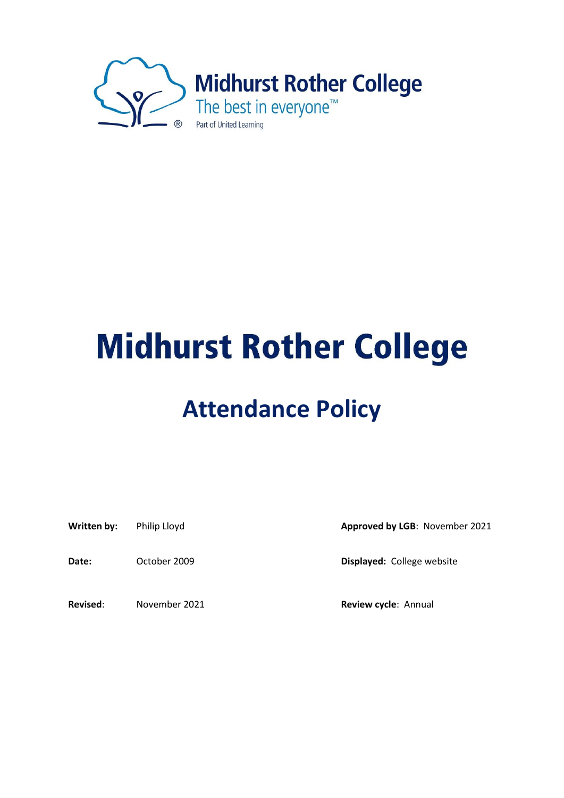

# **Midhurst Rother College**

## **Attendance Policy**

Date: October 2009 **Displayed:** College website

**Revised**: November 2021 **Review cycle**: Annual

Written by: Philip Lloyd **Approved by LGB**: November 2021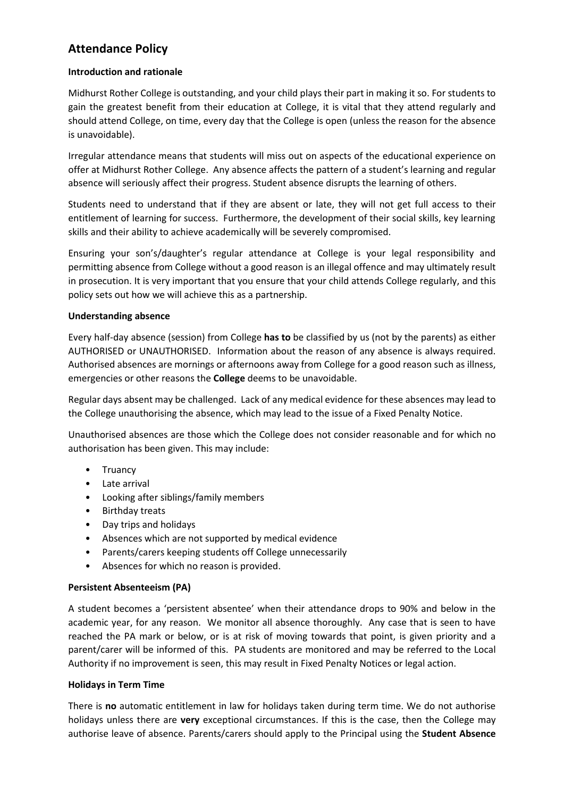### **Attendance Policy**

#### **Introduction and rationale**

Midhurst Rother College is outstanding, and your child plays their part in making it so. For students to gain the greatest benefit from their education at College, it is vital that they attend regularly and should attend College, on time, every day that the College is open (unless the reason for the absence is unavoidable).

Irregular attendance means that students will miss out on aspects of the educational experience on offer at Midhurst Rother College. Any absence affects the pattern of a student's learning and regular absence will seriously affect their progress. Student absence disrupts the learning of others.

Students need to understand that if they are absent or late, they will not get full access to their entitlement of learning for success. Furthermore, the development of their social skills, key learning skills and their ability to achieve academically will be severely compromised.

Ensuring your son's/daughter's regular attendance at College is your legal responsibility and permitting absence from College without a good reason is an illegal offence and may ultimately result in prosecution. It is very important that you ensure that your child attends College regularly, and this policy sets out how we will achieve this as a partnership.

#### **Understanding absence**

Every half‐day absence (session) from College **has to** be classified by us (not by the parents) as either AUTHORISED or UNAUTHORISED. Information about the reason of any absence is always required. Authorised absences are mornings or afternoons away from College for a good reason such as illness, emergencies or other reasons the **College** deems to be unavoidable.

Regular days absent may be challenged. Lack of any medical evidence for these absences may lead to the College unauthorising the absence, which may lead to the issue of a Fixed Penalty Notice.

Unauthorised absences are those which the College does not consider reasonable and for which no authorisation has been given. This may include:

- Truancy
- Late arrival
- Looking after siblings/family members
- Birthday treats
- Day trips and holidays
- Absences which are not supported by medical evidence
- Parents/carers keeping students off College unnecessarily
- Absences for which no reason is provided.

#### **Persistent Absenteeism (PA)**

A student becomes a 'persistent absentee' when their attendance drops to 90% and below in the academic year, for any reason. We monitor all absence thoroughly. Any case that is seen to have reached the PA mark or below, or is at risk of moving towards that point, is given priority and a parent/carer will be informed of this. PA students are monitored and may be referred to the Local Authority if no improvement is seen, this may result in Fixed Penalty Notices or legal action.

#### **Holidays in Term Time**

There is **no** automatic entitlement in law for holidays taken during term time. We do not authorise holidays unless there are **very** exceptional circumstances. If this is the case, then the College may authorise leave of absence. Parents/carers should apply to the Principal using the **Student Absence**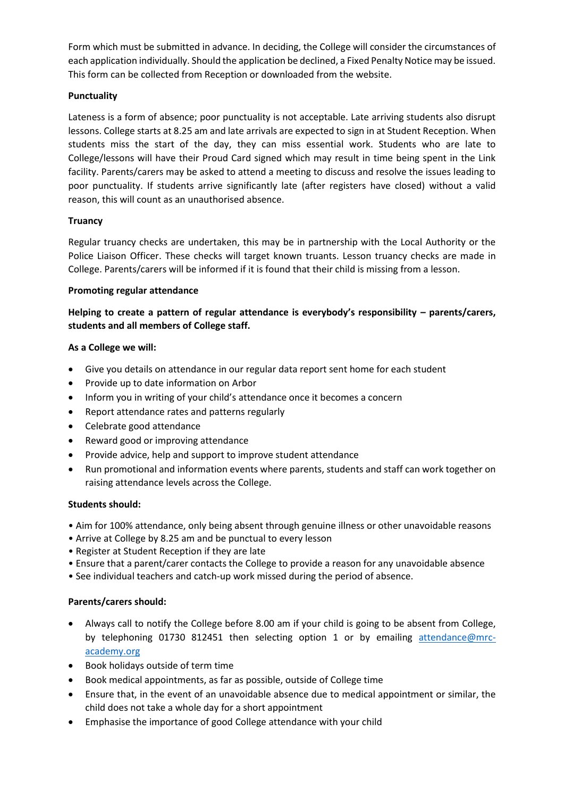Form which must be submitted in advance. In deciding, the College will consider the circumstances of each application individually. Should the application be declined, a Fixed Penalty Notice may be issued. This form can be collected from Reception or downloaded from the website.

#### **Punctuality**

Lateness is a form of absence; poor punctuality is not acceptable. Late arriving students also disrupt lessons. College starts at 8.25 am and late arrivals are expected to sign in at Student Reception. When students miss the start of the day, they can miss essential work. Students who are late to College/lessons will have their Proud Card signed which may result in time being spent in the Link facility. Parents/carers may be asked to attend a meeting to discuss and resolve the issues leading to poor punctuality. If students arrive significantly late (after registers have closed) without a valid reason, this will count as an unauthorised absence.

#### **Truancy**

Regular truancy checks are undertaken, this may be in partnership with the Local Authority or the Police Liaison Officer. These checks will target known truants. Lesson truancy checks are made in College. Parents/carers will be informed if it is found that their child is missing from a lesson.

#### **Promoting regular attendance**

#### **Helping to create a pattern of regular attendance is everybody's responsibility – parents/carers, students and all members of College staff.**

#### **As a College we will:**

- Give you details on attendance in our regular data report sent home for each student
- Provide up to date information on Arbor
- Inform you in writing of your child's attendance once it becomes a concern
- Report attendance rates and patterns regularly
- Celebrate good attendance
- Reward good or improving attendance
- Provide advice, help and support to improve student attendance
- Run promotional and information events where parents, students and staff can work together on raising attendance levels across the College.

#### **Students should:**

- Aim for 100% attendance, only being absent through genuine illness or other unavoidable reasons
- Arrive at College by 8.25 am and be punctual to every lesson
- Register at Student Reception if they are late
- Ensure that a parent/carer contacts the College to provide a reason for any unavoidable absence
- See individual teachers and catch-up work missed during the period of absence.

#### **Parents/carers should:**

- Always call to notify the College before 8.00 am if your child is going to be absent from College, by telephoning 01730 812451 then selecting option 1 or by emailing [attendance@mrc](mailto:attendance@mrc-academy.org)[academy.org](mailto:attendance@mrc-academy.org)
- Book holidays outside of term time
- Book medical appointments, as far as possible, outside of College time
- Ensure that, in the event of an unavoidable absence due to medical appointment or similar, the child does not take a whole day for a short appointment
- Emphasise the importance of good College attendance with your child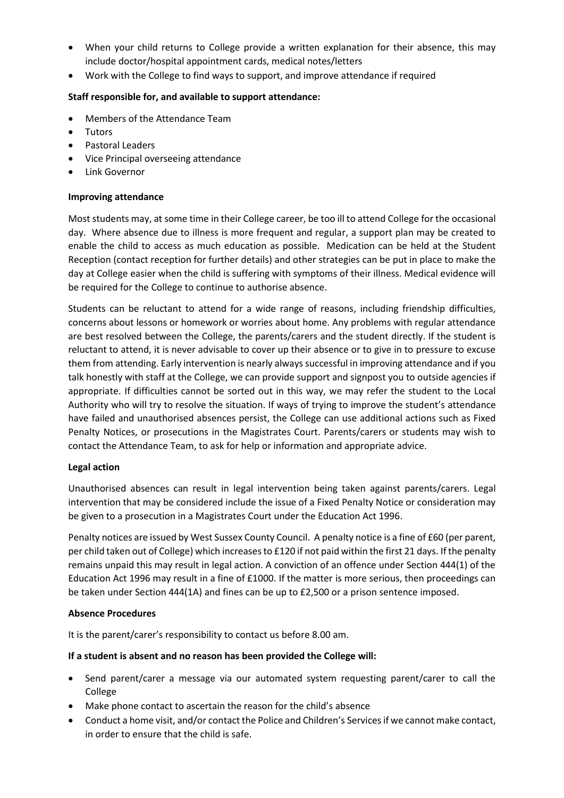- When your child returns to College provide a written explanation for their absence, this may include doctor/hospital appointment cards, medical notes/letters
- Work with the College to find ways to support, and improve attendance if required

#### **Staff responsible for, and available to support attendance:**

- Members of the Attendance Team
- Tutors
- Pastoral Leaders
- Vice Principal overseeing attendance
- Link Governor

#### **Improving attendance**

Most students may, at some time in their College career, be too ill to attend College for the occasional day. Where absence due to illness is more frequent and regular, a support plan may be created to enable the child to access as much education as possible. Medication can be held at the Student Reception (contact reception for further details) and other strategies can be put in place to make the day at College easier when the child is suffering with symptoms of their illness. Medical evidence will be required for the College to continue to authorise absence.

Students can be reluctant to attend for a wide range of reasons, including friendship difficulties, concerns about lessons or homework or worries about home. Any problems with regular attendance are best resolved between the College, the parents/carers and the student directly. If the student is reluctant to attend, it is never advisable to cover up their absence or to give in to pressure to excuse them from attending. Early intervention is nearly always successful in improving attendance and if you talk honestly with staff at the College, we can provide support and signpost you to outside agencies if appropriate. If difficulties cannot be sorted out in this way, we may refer the student to the Local Authority who will try to resolve the situation. If ways of trying to improve the student's attendance have failed and unauthorised absences persist, the College can use additional actions such as Fixed Penalty Notices, or prosecutions in the Magistrates Court. Parents/carers or students may wish to contact the Attendance Team, to ask for help or information and appropriate advice.

#### **Legal action**

Unauthorised absences can result in legal intervention being taken against parents/carers. Legal intervention that may be considered include the issue of a Fixed Penalty Notice or consideration may be given to a prosecution in a Magistrates Court under the Education Act 1996.

Penalty notices are issued by West Sussex County Council. A penalty notice is a fine of £60 (per parent, per child taken out of College) which increases to £120 if not paid within the first 21 days. If the penalty remains unpaid this may result in legal action. A conviction of an offence under Section 444(1) of the Education Act 1996 may result in a fine of £1000. If the matter is more serious, then proceedings can be taken under Section 444(1A) and fines can be up to £2,500 or a prison sentence imposed.

#### **Absence Procedures**

It is the parent/carer's responsibility to contact us before 8.00 am.

#### **If a student is absent and no reason has been provided the College will:**

- Send parent/carer a message via our automated system requesting parent/carer to call the College
- Make phone contact to ascertain the reason for the child's absence
- Conduct a home visit, and/or contact the Police and Children's Services if we cannot make contact, in order to ensure that the child is safe.